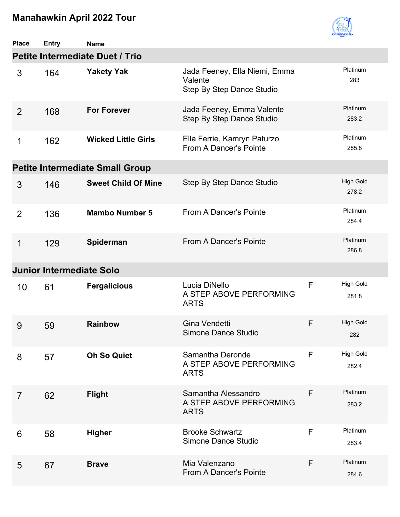

| <b>Place</b>   | <b>Entry</b>                           | <b>Name</b>                            |                                                                       |             |                           |  |  |  |
|----------------|----------------------------------------|----------------------------------------|-----------------------------------------------------------------------|-------------|---------------------------|--|--|--|
|                | <b>Petite Intermediate Duet / Trio</b> |                                        |                                                                       |             |                           |  |  |  |
| 3              | 164                                    | <b>Yakety Yak</b>                      | Jada Feeney, Ella Niemi, Emma<br>Valente<br>Step By Step Dance Studio |             | Platinum<br>283           |  |  |  |
| $\overline{2}$ | 168                                    | <b>For Forever</b>                     | Jada Feeney, Emma Valente<br>Step By Step Dance Studio                |             | Platinum<br>283.2         |  |  |  |
| 1              | 162                                    | <b>Wicked Little Girls</b>             | Ella Ferrie, Kamryn Paturzo<br>From A Dancer's Pointe                 |             | Platinum<br>285.8         |  |  |  |
|                |                                        | <b>Petite Intermediate Small Group</b> |                                                                       |             |                           |  |  |  |
| 3              | 146                                    | <b>Sweet Child Of Mine</b>             | Step By Step Dance Studio                                             |             | <b>High Gold</b><br>278.2 |  |  |  |
| $\overline{2}$ | 136                                    | <b>Mambo Number 5</b>                  | From A Dancer's Pointe                                                |             | Platinum<br>284.4         |  |  |  |
| 1              | 129                                    | Spiderman                              | From A Dancer's Pointe                                                |             | Platinum<br>286.8         |  |  |  |
|                | <b>Junior Intermediate Solo</b>        |                                        |                                                                       |             |                           |  |  |  |
| 10             | 61                                     | <b>Fergalicious</b>                    | Lucia DiNello<br>A STEP ABOVE PERFORMING<br><b>ARTS</b>               | $\mathsf F$ | <b>High Gold</b><br>281.8 |  |  |  |
| 9              | 59                                     | <b>Rainbow</b>                         | Gina Vendetti<br>Simone Dance Studio                                  | F           | <b>High Gold</b><br>282   |  |  |  |
| 8              | 57                                     | <b>Oh So Quiet</b>                     | Samantha Deronde<br>A STEP ABOVE PERFORMING<br><b>ARTS</b>            | F           | <b>High Gold</b><br>282.4 |  |  |  |
| $\overline{7}$ | 62                                     | <b>Flight</b>                          | Samantha Alessandro<br>A STEP ABOVE PERFORMING<br><b>ARTS</b>         | F           | Platinum<br>283.2         |  |  |  |
| 6              | 58                                     | <b>Higher</b>                          | <b>Brooke Schwartz</b><br>Simone Dance Studio                         | F           | Platinum<br>283.4         |  |  |  |
| 5              | 67                                     | <b>Brave</b>                           | Mia Valenzano<br>From A Dancer's Pointe                               | F           | Platinum<br>284.6         |  |  |  |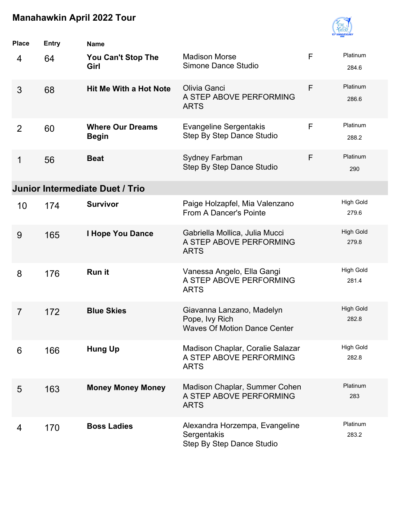

| <b>Place</b>   | <b>Entry</b> | <b>Name</b>                             |                                                                                    |   |                           |
|----------------|--------------|-----------------------------------------|------------------------------------------------------------------------------------|---|---------------------------|
| 4              | 64           | <b>You Can't Stop The</b><br>Girl       | <b>Madison Morse</b><br>Simone Dance Studio                                        | F | Platinum<br>284.6         |
| 3              | 68           | <b>Hit Me With a Hot Note</b>           | Olivia Ganci<br>A STEP ABOVE PERFORMING<br><b>ARTS</b>                             | F | Platinum<br>286.6         |
| $\overline{2}$ | 60           | <b>Where Our Dreams</b><br><b>Begin</b> | <b>Evangeline Sergentakis</b><br>Step By Step Dance Studio                         | F | Platinum<br>288.2         |
| 1              | 56           | <b>Beat</b>                             | Sydney Farbman<br>Step By Step Dance Studio                                        | F | Platinum<br>290           |
|                |              | <b>Junior Intermediate Duet / Trio</b>  |                                                                                    |   |                           |
| 10             | 174          | <b>Survivor</b>                         | Paige Holzapfel, Mia Valenzano<br>From A Dancer's Pointe                           |   | <b>High Gold</b><br>279.6 |
| 9              | 165          | <b>I Hope You Dance</b>                 | Gabriella Mollica, Julia Mucci<br>A STEP ABOVE PERFORMING<br><b>ARTS</b>           |   | <b>High Gold</b><br>279.8 |
| 8              | 176          | Run it                                  | Vanessa Angelo, Ella Gangi<br>A STEP ABOVE PERFORMING<br><b>ARTS</b>               |   | <b>High Gold</b><br>281.4 |
| $\overline{7}$ | 172          | <b>Blue Skies</b>                       | Giavanna Lanzano, Madelyn<br>Pope, Ivy Rich<br><b>Waves Of Motion Dance Center</b> |   | <b>High Gold</b><br>282.8 |
| 6              | 166          | <b>Hung Up</b>                          | Madison Chaplar, Coralie Salazar<br>A STEP ABOVE PERFORMING<br><b>ARTS</b>         |   | <b>High Gold</b><br>282.8 |
| 5              | 163          | <b>Money Money Money</b>                | Madison Chaplar, Summer Cohen<br>A STEP ABOVE PERFORMING<br><b>ARTS</b>            |   | Platinum<br>283           |
| 4              | 170          | <b>Boss Ladies</b>                      | Alexandra Horzempa, Evangeline<br>Sergentakis<br>Step By Step Dance Studio         |   | Platinum<br>283.2         |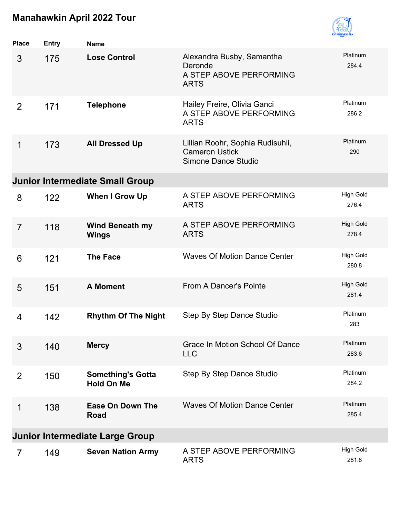

| <b>Place</b>   | <b>Entry</b> | <b>Name</b>                                   |                                                                                  |                           |
|----------------|--------------|-----------------------------------------------|----------------------------------------------------------------------------------|---------------------------|
| 3              | 175          | <b>Lose Control</b>                           | Alexandra Busby, Samantha<br>Deronde<br>A STEP ABOVE PERFORMING<br><b>ARTS</b>   | Platinum<br>284.4         |
| 2              | 171          | <b>Telephone</b>                              | Hailey Freire, Olivia Ganci<br>A STEP ABOVE PERFORMING<br><b>ARTS</b>            | Platinum<br>286.2         |
| 1              | 173          | <b>All Dressed Up</b>                         | Lillian Roohr, Sophia Rudisuhli,<br><b>Cameron Ustick</b><br>Simone Dance Studio | Platinum<br>290           |
|                |              | <b>Junior Intermediate Small Group</b>        |                                                                                  |                           |
| 8              | 122          | When I Grow Up                                | A STEP ABOVE PERFORMING<br><b>ARTS</b>                                           | <b>High Gold</b><br>276.4 |
| $\overline{7}$ | 118          | <b>Wind Beneath my</b><br><b>Wings</b>        | A STEP ABOVE PERFORMING<br><b>ARTS</b>                                           | <b>High Gold</b><br>278.4 |
| 6              | 121          | <b>The Face</b>                               | <b>Waves Of Motion Dance Center</b>                                              | <b>High Gold</b><br>280.8 |
| 5              | 151          | <b>A Moment</b>                               | From A Dancer's Pointe                                                           | <b>High Gold</b><br>281.4 |
| $\overline{4}$ | 142          | <b>Rhythm Of The Night</b>                    | Step By Step Dance Studio                                                        | Platinum<br>283           |
| 3              | 140          | <b>Mercy</b>                                  | Grace In Motion School Of Dance<br><b>LLC</b>                                    | Platinum<br>283.6         |
| 2              | 150          | <b>Something's Gotta</b><br><b>Hold On Me</b> | Step By Step Dance Studio                                                        | Platinum<br>284.2         |
| 1              | 138          | Ease On Down The<br><b>Road</b>               | <b>Waves Of Motion Dance Center</b>                                              | Platinum<br>285.4         |
|                |              | <b>Junior Intermediate Large Group</b>        |                                                                                  |                           |
| $\overline{7}$ | 149          | <b>Seven Nation Army</b>                      | A STEP ABOVE PERFORMING<br><b>ARTS</b>                                           | <b>High Gold</b><br>281.8 |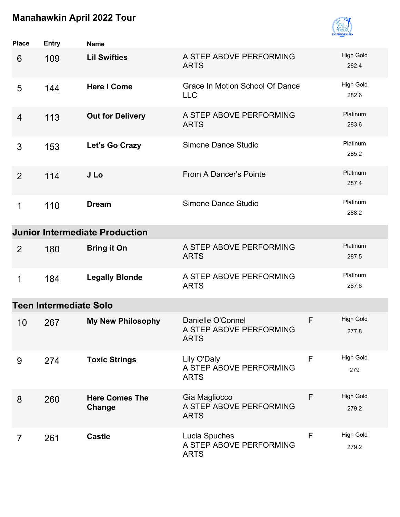

| <b>Place</b>   | <b>Entry</b>                  | <b>Name</b>                           |                                                             |              |                           |
|----------------|-------------------------------|---------------------------------------|-------------------------------------------------------------|--------------|---------------------------|
| 6              | 109                           | <b>Lil Swifties</b>                   | A STEP ABOVE PERFORMING<br><b>ARTS</b>                      |              | <b>High Gold</b><br>282.4 |
| 5              | 144                           | <b>Here I Come</b>                    | Grace In Motion School Of Dance<br><b>LLC</b>               |              | <b>High Gold</b><br>282.6 |
| 4              | 113                           | <b>Out for Delivery</b>               | A STEP ABOVE PERFORMING<br><b>ARTS</b>                      |              | Platinum<br>283.6         |
| 3              | 153                           | Let's Go Crazy                        | Simone Dance Studio                                         |              | Platinum<br>285.2         |
| 2              | 114                           | J Lo                                  | From A Dancer's Pointe                                      |              | Platinum<br>287.4         |
| 1              | 110                           | <b>Dream</b>                          | Simone Dance Studio                                         |              | Platinum<br>288.2         |
|                |                               | <b>Junior Intermediate Production</b> |                                                             |              |                           |
| 2              | 180                           | <b>Bring it On</b>                    | A STEP ABOVE PERFORMING<br><b>ARTS</b>                      |              | Platinum<br>287.5         |
| 1              | 184                           | <b>Legally Blonde</b>                 | A STEP ABOVE PERFORMING<br><b>ARTS</b>                      |              | Platinum<br>287.6         |
|                | <b>Teen Intermediate Solo</b> |                                       |                                                             |              |                           |
| 10             | 267                           | <b>My New Philosophy</b>              | Danielle O'Connel<br>A STEP ABOVE PERFORMING<br><b>ARTS</b> | F            | <b>High Gold</b><br>277.8 |
| 9              | 274                           | <b>Toxic Strings</b>                  | Lily O'Daly<br>A STEP ABOVE PERFORMING<br><b>ARTS</b>       | $\mathsf{F}$ | <b>High Gold</b><br>279   |
| 8              | 260                           | <b>Here Comes The</b><br>Change       | Gia Magliocco<br>A STEP ABOVE PERFORMING<br><b>ARTS</b>     | F            | <b>High Gold</b><br>279.2 |
| $\overline{7}$ | 261                           | <b>Castle</b>                         | Lucia Spuches<br>A STEP ABOVE PERFORMING<br><b>ARTS</b>     | F            | <b>High Gold</b><br>279.2 |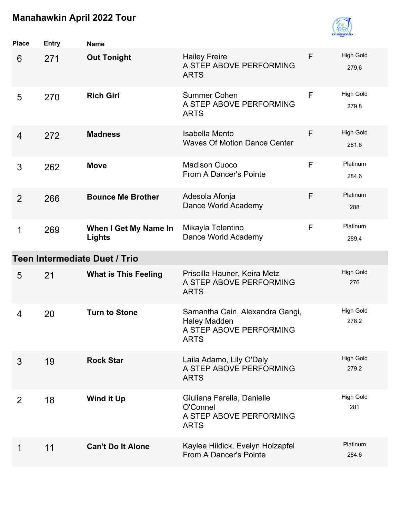

| <b>Place</b>   | <b>Entry</b> | <b>Name</b>                          |                                                                                                  |              |                           |
|----------------|--------------|--------------------------------------|--------------------------------------------------------------------------------------------------|--------------|---------------------------|
| 6              | 271          | <b>Out Tonight</b>                   | <b>Hailey Freire</b><br>A STEP ABOVE PERFORMING<br><b>ARTS</b>                                   | F            | <b>High Gold</b><br>279.6 |
| 5              | 270          | <b>Rich Girl</b>                     | <b>Summer Cohen</b><br>A STEP ABOVE PERFORMING<br><b>ARTS</b>                                    | $\mathsf{F}$ | <b>High Gold</b><br>279.8 |
| $\overline{4}$ | 272          | <b>Madness</b>                       | <b>Isabella Mento</b><br><b>Waves Of Motion Dance Center</b>                                     | F            | <b>High Gold</b><br>281.6 |
| 3              | 262          | <b>Move</b>                          | <b>Madison Cuoco</b><br>From A Dancer's Pointe                                                   | F            | Platinum<br>284.6         |
| 2              | 266          | <b>Bounce Me Brother</b>             | Adesola Afonja<br>Dance World Academy                                                            | F            | Platinum<br>288           |
| 1              | 269          | When I Get My Name In<br>Lights      | Mikayla Tolentino<br>Dance World Academy                                                         | $\mathsf{F}$ | Platinum<br>289.4         |
|                |              | <b>Teen Intermediate Duet / Trio</b> |                                                                                                  |              |                           |
| 5              | 21           | <b>What is This Feeling</b>          | Priscilla Hauner, Keira Metz<br>A STEP ABOVE PERFORMING<br><b>ARTS</b>                           |              | <b>High Gold</b><br>276   |
| 4              | 20           | <b>Turn to Stone</b>                 | Samantha Cain, Alexandra Gangi,<br><b>Haley Madden</b><br>A STEP ABOVE PERFORMING<br><b>ARTS</b> |              | <b>High Gold</b><br>278.2 |
| 3              | 19           | <b>Rock Star</b>                     | Laila Adamo, Lily O'Daly<br>A STEP ABOVE PERFORMING<br><b>ARTS</b>                               |              | <b>High Gold</b><br>279.2 |
| 2              | 18           | <b>Wind it Up</b>                    | Giuliana Farella, Danielle<br>O'Connel<br>A STEP ABOVE PERFORMING<br><b>ARTS</b>                 |              | <b>High Gold</b><br>281   |
| 1              | 11           | <b>Can't Do It Alone</b>             | Kaylee Hildick, Evelyn Holzapfel<br>From A Dancer's Pointe                                       |              | Platinum<br>284.6         |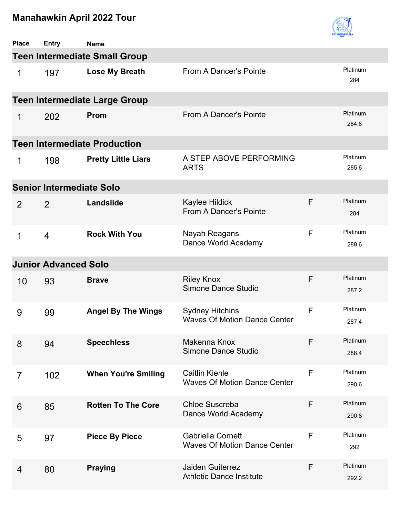

| <b>Place</b>   | <b>Entry</b>                    | <b>Name</b>                          |                                                                 |              |                   |
|----------------|---------------------------------|--------------------------------------|-----------------------------------------------------------------|--------------|-------------------|
|                |                                 | <b>Teen Intermediate Small Group</b> |                                                                 |              |                   |
| 1              | 197                             | Lose My Breath                       | From A Dancer's Pointe                                          |              | Platinum<br>284   |
|                |                                 | <b>Teen Intermediate Large Group</b> |                                                                 |              |                   |
| 1              | 202                             | Prom                                 | From A Dancer's Pointe                                          |              | Platinum<br>284.8 |
|                |                                 | <b>Teen Intermediate Production</b>  |                                                                 |              |                   |
| 1              | 198                             | <b>Pretty Little Liars</b>           | A STEP ABOVE PERFORMING<br><b>ARTS</b>                          |              | Platinum<br>285.6 |
|                | <b>Senior Intermediate Solo</b> |                                      |                                                                 |              |                   |
| 2              | 2                               | Landslide                            | Kaylee Hildick<br>From A Dancer's Pointe                        | F            | Platinum<br>284   |
| 1              | $\overline{4}$                  | <b>Rock With You</b>                 | Nayah Reagans<br>Dance World Academy                            | $\mathsf{F}$ | Platinum<br>289.6 |
|                | <b>Junior Advanced Solo</b>     |                                      |                                                                 |              |                   |
| 10             | 93                              | <b>Brave</b>                         | <b>Riley Knox</b><br>Simone Dance Studio                        | F            | Platinum<br>287.2 |
| 9              | 99                              | <b>Angel By The Wings</b>            | <b>Sydney Hitchins</b><br><b>Waves Of Motion Dance Center</b>   | F            | Platinum<br>287.4 |
| 8              | 94                              | <b>Speechless</b>                    | Makenna Knox<br>Simone Dance Studio                             | $\mathsf{F}$ | Platinum<br>288.4 |
| $\overline{7}$ | 102                             | <b>When You're Smiling</b>           | <b>Caitlin Kienle</b><br><b>Waves Of Motion Dance Center</b>    | $\mathsf{F}$ | Platinum<br>290.6 |
| 6              | 85                              | <b>Rotten To The Core</b>            | <b>Chloe Suscreba</b><br>Dance World Academy                    | $\mathsf{F}$ | Platinum<br>290.8 |
| 5              | 97                              | <b>Piece By Piece</b>                | <b>Gabriella Cornett</b><br><b>Waves Of Motion Dance Center</b> | F            | Platinum<br>292   |
| 4              | 80                              | <b>Praying</b>                       | Jaiden Guiterrez<br><b>Athletic Dance Institute</b>             | $\mathsf F$  | Platinum<br>292.2 |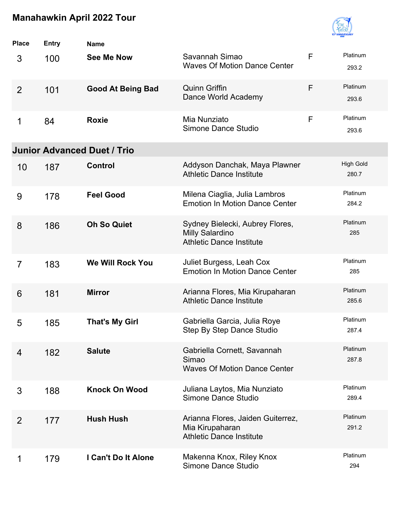

| Place          | <b>Entry</b> | <b>Name</b>                        |                                                                                         |              |                           |
|----------------|--------------|------------------------------------|-----------------------------------------------------------------------------------------|--------------|---------------------------|
| 3              | 100          | <b>See Me Now</b>                  | Savannah Simao<br><b>Waves Of Motion Dance Center</b>                                   | $\mathsf{F}$ | Platinum<br>293.2         |
| $\overline{2}$ | 101          | <b>Good At Being Bad</b>           | <b>Quinn Griffin</b><br>Dance World Academy                                             | F            | Platinum<br>293.6         |
| 1              | 84           | <b>Roxie</b>                       | Mia Nunziato<br>Simone Dance Studio                                                     | F            | Platinum<br>293.6         |
|                |              | <b>Junior Advanced Duet / Trio</b> |                                                                                         |              |                           |
| 10             | 187          | <b>Control</b>                     | Addyson Danchak, Maya Plawner<br><b>Athletic Dance Institute</b>                        |              | <b>High Gold</b><br>280.7 |
| 9              | 178          | <b>Feel Good</b>                   | Milena Ciaglia, Julia Lambros<br><b>Emotion In Motion Dance Center</b>                  |              | Platinum<br>284.2         |
| 8              | 186          | <b>Oh So Quiet</b>                 | Sydney Bielecki, Aubrey Flores,<br>Milly Salardino<br><b>Athletic Dance Institute</b>   |              | Platinum<br>285           |
| $\overline{7}$ | 183          | <b>We Will Rock You</b>            | Juliet Burgess, Leah Cox<br><b>Emotion In Motion Dance Center</b>                       |              | Platinum<br>285           |
| 6              | 181          | <b>Mirror</b>                      | Arianna Flores, Mia Kirupaharan<br><b>Athletic Dance Institute</b>                      |              | Platinum<br>285.6         |
| 5              | 185          | <b>That's My Girl</b>              | Gabriella Garcia, Julia Roye<br>Step By Step Dance Studio                               |              | Platinum<br>287.4         |
| 4              | 182          | <b>Salute</b>                      | Gabriella Cornett, Savannah<br>Simao<br><b>Waves Of Motion Dance Center</b>             |              | Platinum<br>287.8         |
| 3              | 188          | <b>Knock On Wood</b>               | Juliana Laytos, Mia Nunziato<br>Simone Dance Studio                                     |              | Platinum<br>289.4         |
| $\overline{2}$ | 177          | <b>Hush Hush</b>                   | Arianna Flores, Jaiden Guiterrez,<br>Mia Kirupaharan<br><b>Athletic Dance Institute</b> |              | Platinum<br>291.2         |
| 1              | 179          | I Can't Do It Alone                | Makenna Knox, Riley Knox<br>Simone Dance Studio                                         |              | Platinum<br>294           |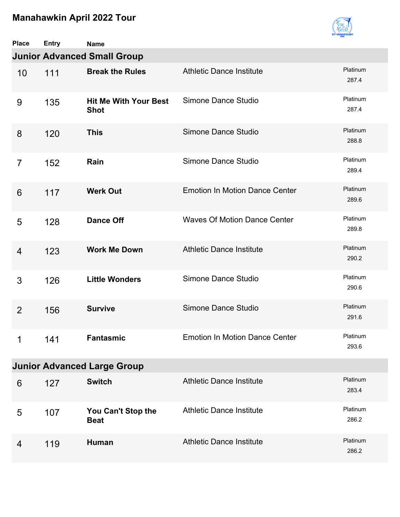

| <b>Place</b>   | <b>Entry</b> | <b>Name</b>                                 |                                       |                   |
|----------------|--------------|---------------------------------------------|---------------------------------------|-------------------|
|                |              | <b>Junior Advanced Small Group</b>          |                                       |                   |
| 10             | 111          | <b>Break the Rules</b>                      | <b>Athletic Dance Institute</b>       | Platinum<br>287.4 |
| 9              | 135          | <b>Hit Me With Your Best</b><br><b>Shot</b> | Simone Dance Studio                   | Platinum<br>287.4 |
| 8              | 120          | <b>This</b>                                 | Simone Dance Studio                   | Platinum<br>288.8 |
| $\overline{7}$ | 152          | Rain                                        | Simone Dance Studio                   | Platinum<br>289.4 |
| 6              | 117          | <b>Werk Out</b>                             | <b>Emotion In Motion Dance Center</b> | Platinum<br>289.6 |
| 5              | 128          | <b>Dance Off</b>                            | <b>Waves Of Motion Dance Center</b>   | Platinum<br>289.8 |
| $\overline{4}$ | 123          | <b>Work Me Down</b>                         | <b>Athletic Dance Institute</b>       | Platinum<br>290.2 |
| 3              | 126          | <b>Little Wonders</b>                       | Simone Dance Studio                   | Platinum<br>290.6 |
| 2              | 156          | <b>Survive</b>                              | Simone Dance Studio                   | Platinum<br>291.6 |
| 1              | 141          | <b>Fantasmic</b>                            | <b>Emotion In Motion Dance Center</b> | Platinum<br>293.6 |
|                |              | <b>Junior Advanced Large Group</b>          |                                       |                   |
| 6              | 127          | <b>Switch</b>                               | <b>Athletic Dance Institute</b>       | Platinum<br>283.4 |
| 5              | 107          | You Can't Stop the<br><b>Beat</b>           | <b>Athletic Dance Institute</b>       | Platinum<br>286.2 |
| 4              | 119          | <b>Human</b>                                | <b>Athletic Dance Institute</b>       | Platinum<br>286.2 |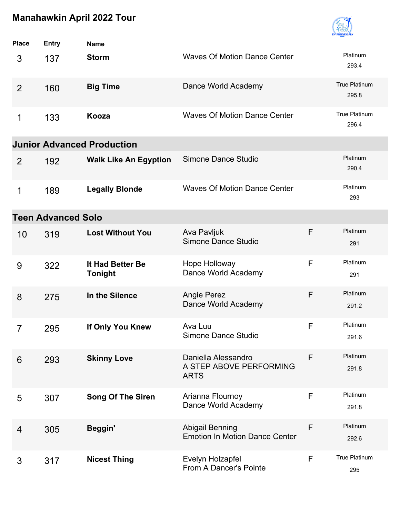

| <b>Place</b>    | <b>Entry</b>              | <b>Name</b>                        |                                                                 |   |                        |
|-----------------|---------------------------|------------------------------------|-----------------------------------------------------------------|---|------------------------|
| 3               | 137                       | <b>Storm</b>                       | <b>Waves Of Motion Dance Center</b>                             |   | Platinum<br>293.4      |
| $\overline{2}$  | 160                       | <b>Big Time</b>                    | Dance World Academy                                             |   | True Platinum<br>295.8 |
| 1               | 133                       | Kooza                              | <b>Waves Of Motion Dance Center</b>                             |   | True Platinum<br>296.4 |
|                 |                           | <b>Junior Advanced Production</b>  |                                                                 |   |                        |
| 2               | 192                       | <b>Walk Like An Egyption</b>       | Simone Dance Studio                                             |   | Platinum<br>290.4      |
| 1               | 189                       | <b>Legally Blonde</b>              | <b>Waves Of Motion Dance Center</b>                             |   | Platinum<br>293        |
|                 | <b>Teen Advanced Solo</b> |                                    |                                                                 |   |                        |
| 10              | 319                       | <b>Lost Without You</b>            | Ava Pavljuk<br>Simone Dance Studio                              | F | Platinum<br>291        |
| 9               | 322                       | It Had Better Be<br><b>Tonight</b> | Hope Holloway<br>Dance World Academy                            | F | Platinum<br>291        |
| 8               | 275                       | In the Silence                     | <b>Angie Perez</b><br>Dance World Academy                       | F | Platinum<br>291.2      |
| $\overline{7}$  | 295                       | If Only You Knew                   | Ava Luu<br><b>Simone Dance Studio</b>                           | F | Platinum<br>291.6      |
| $6\phantom{1}6$ | 293                       | <b>Skinny Love</b>                 | Daniella Alessandro<br>A STEP ABOVE PERFORMING<br><b>ARTS</b>   | F | Platinum<br>291.8      |
| 5               | 307                       | <b>Song Of The Siren</b>           | Arianna Flournoy<br>Dance World Academy                         | F | Platinum<br>291.8      |
| 4               | 305                       | Beggin'                            | <b>Abigail Benning</b><br><b>Emotion In Motion Dance Center</b> | F | Platinum<br>292.6      |
| 3               | 317                       | <b>Nicest Thing</b>                | Evelyn Holzapfel<br>From A Dancer's Pointe                      | F | True Platinum<br>295   |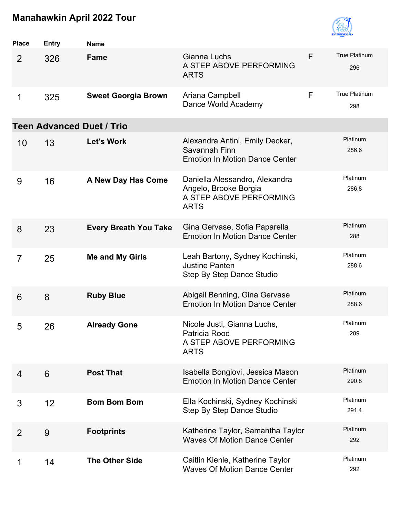

| <b>Place</b>   | <b>Entry</b> | <b>Name</b>                      |                                                                                                   |   |                             |
|----------------|--------------|----------------------------------|---------------------------------------------------------------------------------------------------|---|-----------------------------|
| 2              | 326          | Fame                             | Gianna Luchs<br>A STEP ABOVE PERFORMING<br><b>ARTS</b>                                            | F | <b>True Platinum</b><br>296 |
| 1              | 325          | <b>Sweet Georgia Brown</b>       | Ariana Campbell<br>Dance World Academy                                                            | F | <b>True Platinum</b><br>298 |
|                |              | <b>Teen Advanced Duet / Trio</b> |                                                                                                   |   |                             |
| 10             | 13           | <b>Let's Work</b>                | Alexandra Antini, Emily Decker,<br>Savannah Finn<br><b>Emotion In Motion Dance Center</b>         |   | Platinum<br>286.6           |
| 9              | 16           | A New Day Has Come               | Daniella Alessandro, Alexandra<br>Angelo, Brooke Borgia<br>A STEP ABOVE PERFORMING<br><b>ARTS</b> |   | Platinum<br>286.8           |
| 8              | 23           | <b>Every Breath You Take</b>     | Gina Gervase, Sofia Paparella<br><b>Emotion In Motion Dance Center</b>                            |   | Platinum<br>288             |
| $\overline{7}$ | 25           | <b>Me and My Girls</b>           | Leah Bartony, Sydney Kochinski,<br><b>Justine Panten</b><br>Step By Step Dance Studio             |   | Platinum<br>288.6           |
| 6              | 8            | <b>Ruby Blue</b>                 | Abigail Benning, Gina Gervase<br><b>Emotion In Motion Dance Center</b>                            |   | Platinum<br>288.6           |
| 5              | 26           | <b>Already Gone</b>              | Nicole Justi, Gianna Luchs,<br>Patricia Rood<br>A STEP ABOVE PERFORMING<br><b>ARTS</b>            |   | Platinum<br>289             |
| $\overline{4}$ | 6            | <b>Post That</b>                 | Isabella Bongiovi, Jessica Mason<br><b>Emotion In Motion Dance Center</b>                         |   | Platinum<br>290.8           |
| 3              | 12           | <b>Bom Bom Bom</b>               | Ella Kochinski, Sydney Kochinski<br>Step By Step Dance Studio                                     |   | Platinum<br>291.4           |
| 2              | 9            | <b>Footprints</b>                | Katherine Taylor, Samantha Taylor<br><b>Waves Of Motion Dance Center</b>                          |   | Platinum<br>292             |
| 1              | 14           | <b>The Other Side</b>            | Caitlin Kienle, Katherine Taylor<br><b>Waves Of Motion Dance Center</b>                           |   | Platinum<br>292             |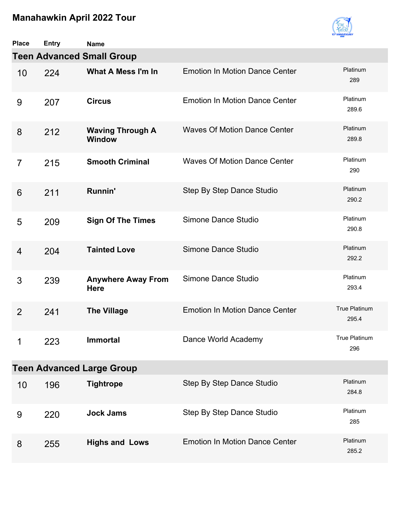

| <b>Place</b>   | <b>Entry</b> | <b>Name</b>                              |                                       |                        |
|----------------|--------------|------------------------------------------|---------------------------------------|------------------------|
|                |              | <b>Teen Advanced Small Group</b>         |                                       |                        |
| 10             | 224          | What A Mess I'm In                       | <b>Emotion In Motion Dance Center</b> | Platinum<br>289        |
| 9              | 207          | <b>Circus</b>                            | <b>Emotion In Motion Dance Center</b> | Platinum<br>289.6      |
| 8              | 212          | <b>Waving Through A</b><br><b>Window</b> | <b>Waves Of Motion Dance Center</b>   | Platinum<br>289.8      |
| $\overline{7}$ | 215          | <b>Smooth Criminal</b>                   | <b>Waves Of Motion Dance Center</b>   | Platinum<br>290        |
| 6              | 211          | Runnin'                                  | Step By Step Dance Studio             | Platinum<br>290.2      |
| 5              | 209          | <b>Sign Of The Times</b>                 | Simone Dance Studio                   | Platinum<br>290.8      |
| $\overline{4}$ | 204          | <b>Tainted Love</b>                      | Simone Dance Studio                   | Platinum<br>292.2      |
| 3              | 239          | <b>Anywhere Away From</b><br><b>Here</b> | Simone Dance Studio                   | Platinum<br>293.4      |
| 2              | 241          | <b>The Village</b>                       | <b>Emotion In Motion Dance Center</b> | True Platinum<br>295.4 |
| 1              | 223          | <b>Immortal</b>                          | Dance World Academy                   | True Platinum<br>296   |
|                |              | <b>Teen Advanced Large Group</b>         |                                       |                        |
| 10             | 196          | <b>Tightrope</b>                         | Step By Step Dance Studio             | Platinum<br>284.8      |
| 9              | 220          | <b>Jock Jams</b>                         | Step By Step Dance Studio             | Platinum<br>285        |
| 8              | 255          | <b>Highs and Lows</b>                    | <b>Emotion In Motion Dance Center</b> | Platinum<br>285.2      |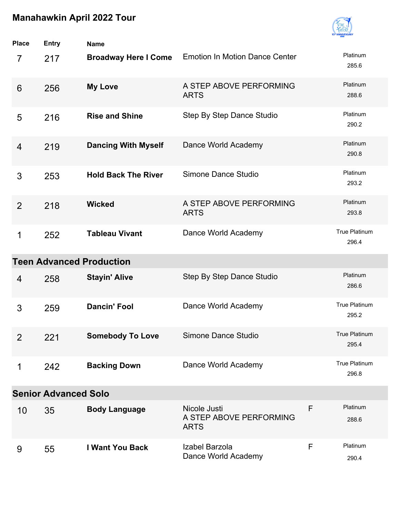

| <b>Place</b>   | <b>Entry</b>                | <b>Name</b>                     |                                                        |              |                               |
|----------------|-----------------------------|---------------------------------|--------------------------------------------------------|--------------|-------------------------------|
| $\overline{7}$ | 217                         | <b>Broadway Here I Come</b>     | <b>Emotion In Motion Dance Center</b>                  |              | Platinum<br>285.6             |
| 6              | 256                         | <b>My Love</b>                  | A STEP ABOVE PERFORMING<br><b>ARTS</b>                 |              | Platinum<br>288.6             |
| 5              | 216                         | <b>Rise and Shine</b>           | Step By Step Dance Studio                              |              | Platinum<br>290.2             |
| $\overline{4}$ | 219                         | <b>Dancing With Myself</b>      | Dance World Academy                                    |              | Platinum<br>290.8             |
| 3              | 253                         | <b>Hold Back The River</b>      | Simone Dance Studio                                    |              | Platinum<br>293.2             |
| $\overline{2}$ | 218                         | <b>Wicked</b>                   | A STEP ABOVE PERFORMING<br><b>ARTS</b>                 |              | Platinum<br>293.8             |
| 1              | 252                         | <b>Tableau Vivant</b>           | Dance World Academy                                    |              | <b>True Platinum</b><br>296.4 |
|                |                             | <b>Teen Advanced Production</b> |                                                        |              |                               |
| 4              | 258                         | <b>Stayin' Alive</b>            | Step By Step Dance Studio                              |              | Platinum<br>286.6             |
| 3              | 259                         | <b>Dancin' Fool</b>             | Dance World Academy                                    |              | <b>True Platinum</b><br>295.2 |
| $\overline{2}$ | 221                         | <b>Somebody To Love</b>         | Simone Dance Studio                                    |              | True Platinum<br>295.4        |
| 1              | 242                         | <b>Backing Down</b>             | Dance World Academy                                    |              | True Platinum<br>296.8        |
|                | <b>Senior Advanced Solo</b> |                                 |                                                        |              |                               |
| 10             | 35                          | <b>Body Language</b>            | Nicole Justi<br>A STEP ABOVE PERFORMING<br><b>ARTS</b> | F            | Platinum<br>288.6             |
| 9              | 55                          | <b>I Want You Back</b>          | Izabel Barzola<br>Dance World Academy                  | $\mathsf{F}$ | Platinum<br>290.4             |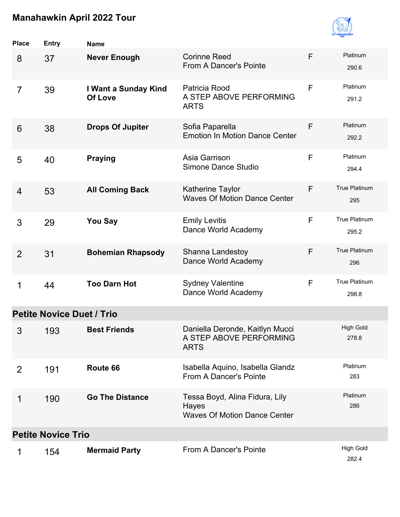

| <b>Place</b>              | <b>Entry</b>                     | <b>Name</b>                     |                                                                                |   |                           |  |
|---------------------------|----------------------------------|---------------------------------|--------------------------------------------------------------------------------|---|---------------------------|--|
| 8                         | 37                               | <b>Never Enough</b>             | <b>Corinne Reed</b><br>From A Dancer's Pointe                                  | F | Platinum<br>290.6         |  |
| $\overline{7}$            | 39                               | I Want a Sunday Kind<br>Of Love | Patricia Rood<br>A STEP ABOVE PERFORMING<br><b>ARTS</b>                        | F | Platinum<br>291.2         |  |
| 6                         | 38                               | <b>Drops Of Jupiter</b>         | Sofia Paparella<br><b>Emotion In Motion Dance Center</b>                       | F | Platinum<br>292.2         |  |
| 5                         | 40                               | <b>Praying</b>                  | Asia Garrison<br>Simone Dance Studio                                           | F | Platinum<br>294.4         |  |
| $\overline{4}$            | 53                               | <b>All Coming Back</b>          | Katherine Taylor<br><b>Waves Of Motion Dance Center</b>                        | F | True Platinum<br>295      |  |
| 3                         | 29                               | <b>You Say</b>                  | <b>Emily Levitis</b><br>Dance World Academy                                    | F | True Platinum<br>295.2    |  |
| $\overline{2}$            | 31                               | <b>Bohemian Rhapsody</b>        | Shanna Landestoy<br>Dance World Academy                                        | F | True Platinum<br>296      |  |
| 1                         | 44                               | <b>Too Darn Hot</b>             | <b>Sydney Valentine</b><br>Dance World Academy                                 | F | True Platinum<br>298.8    |  |
|                           | <b>Petite Novice Duet / Trio</b> |                                 |                                                                                |   |                           |  |
| 3                         | 193                              | <b>Best Friends</b>             | Daniella Deronde, Kaitlyn Mucci<br>A STEP ABOVE PERFORMING<br><b>ARTS</b>      |   | <b>High Gold</b><br>278.8 |  |
| 2                         | 191                              | Route 66                        | Isabella Aquino, Isabella Glandz<br>From A Dancer's Pointe                     |   | Platinum<br>283           |  |
| 1                         | 190                              | <b>Go The Distance</b>          | Tessa Boyd, Alina Fidura, Lily<br>Hayes<br><b>Waves Of Motion Dance Center</b> |   | Platinum<br>286           |  |
| <b>Petite Novice Trio</b> |                                  |                                 |                                                                                |   |                           |  |
| 1                         | 154                              | <b>Mermaid Party</b>            | From A Dancer's Pointe                                                         |   | <b>High Gold</b><br>282.4 |  |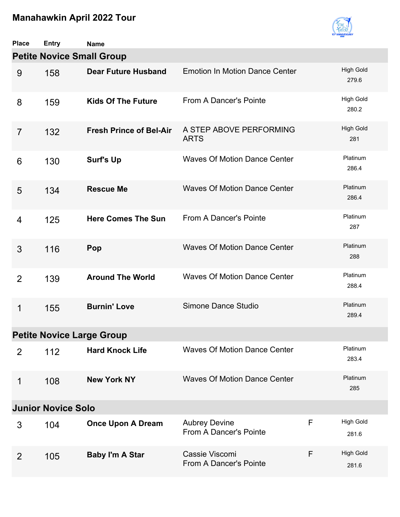

| <b>Place</b>                     | <b>Entry</b> | <b>Name</b>                    |                                                |   |                           |  |  |  |
|----------------------------------|--------------|--------------------------------|------------------------------------------------|---|---------------------------|--|--|--|
| <b>Petite Novice Small Group</b> |              |                                |                                                |   |                           |  |  |  |
| 9                                | 158          | <b>Dear Future Husband</b>     | <b>Emotion In Motion Dance Center</b>          |   | <b>High Gold</b><br>279.6 |  |  |  |
| 8                                | 159          | <b>Kids Of The Future</b>      | From A Dancer's Pointe                         |   | <b>High Gold</b><br>280.2 |  |  |  |
| $\overline{7}$                   | 132          | <b>Fresh Prince of Bel-Air</b> | A STEP ABOVE PERFORMING<br><b>ARTS</b>         |   | <b>High Gold</b><br>281   |  |  |  |
| 6                                | 130          | <b>Surf's Up</b>               | <b>Waves Of Motion Dance Center</b>            |   | Platinum<br>286.4         |  |  |  |
| 5                                | 134          | <b>Rescue Me</b>               | <b>Waves Of Motion Dance Center</b>            |   | Platinum<br>286.4         |  |  |  |
| 4                                | 125          | <b>Here Comes The Sun</b>      | From A Dancer's Pointe                         |   | Platinum<br>287           |  |  |  |
| 3                                | 116          | Pop                            | <b>Waves Of Motion Dance Center</b>            |   | Platinum<br>288           |  |  |  |
| $\overline{2}$                   | 139          | <b>Around The World</b>        | <b>Waves Of Motion Dance Center</b>            |   | Platinum<br>288.4         |  |  |  |
| 1                                | 155          | <b>Burnin' Love</b>            | Simone Dance Studio                            |   | Platinum<br>289.4         |  |  |  |
| <b>Petite Novice Large Group</b> |              |                                |                                                |   |                           |  |  |  |
| 2                                | 112          | <b>Hard Knock Life</b>         | <b>Waves Of Motion Dance Center</b>            |   | Platinum<br>283.4         |  |  |  |
| 1                                | 108          | <b>New York NY</b>             | <b>Waves Of Motion Dance Center</b>            |   | Platinum<br>285           |  |  |  |
| <b>Junior Novice Solo</b>        |              |                                |                                                |   |                           |  |  |  |
| 3                                | 104          | <b>Once Upon A Dream</b>       | <b>Aubrey Devine</b><br>From A Dancer's Pointe | F | <b>High Gold</b><br>281.6 |  |  |  |
| 2                                | 105          | <b>Baby I'm A Star</b>         | Cassie Viscomi<br>From A Dancer's Pointe       | F | <b>High Gold</b><br>281.6 |  |  |  |